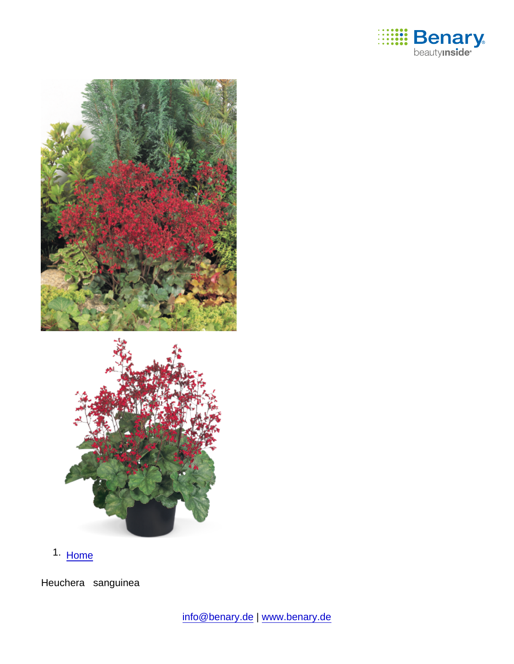

1. [Home](https://www.benary.com/)

Heuchera sanguinea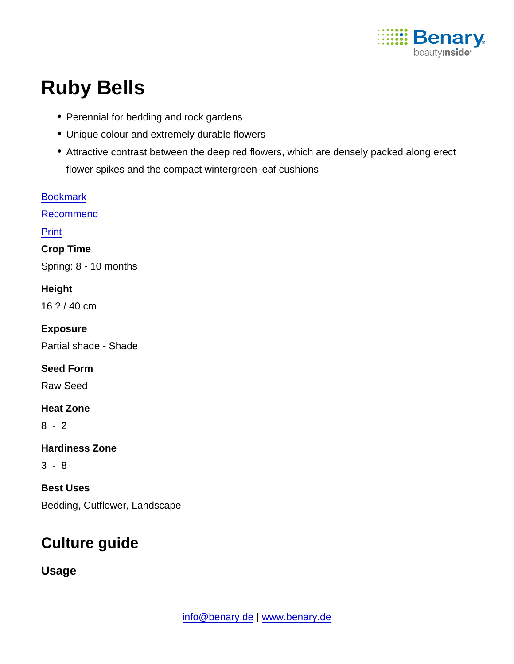

# Ruby Bells

- Perennial for bedding and rock gardens
- Unique colour and extremely durable flowers
- Attractive contrast between the deep red flowers, which are densely packed along erect flower spikes and the compact wintergreen leaf cushions

| <b>Bookmark</b>               |
|-------------------------------|
| Recommend                     |
| Print                         |
| Crop Time                     |
| Spring: 8 - 10 months         |
| Height                        |
| 16 ? / 40 cm                  |
| Exposure                      |
| Partial shade - Shade         |
| Seed Form                     |
| <b>Raw Seed</b>               |
| <b>Heat Zone</b>              |
| $8 - 2$                       |
| <b>Hardiness Zone</b>         |
| $3 - 8$                       |
| <b>Best Uses</b>              |
| Bedding, Cutflower, Landscape |

# Culture guide

Usage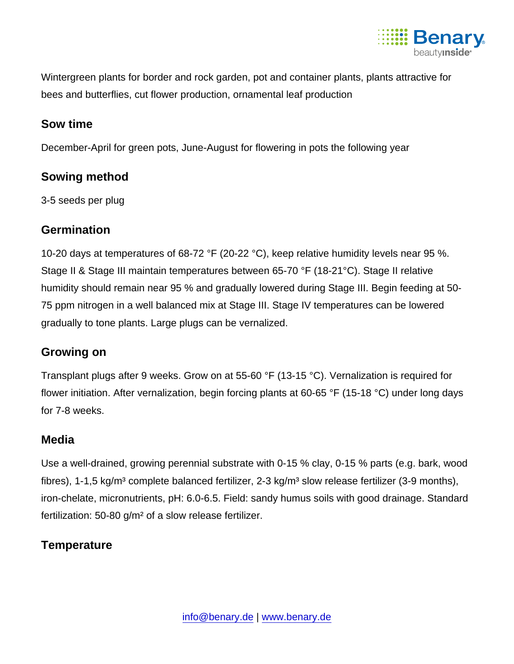

Wintergreen plants for border and rock garden, pot and container plants, plants attractive for bees and butterflies, cut flower production, ornamental leaf production

#### Sow time

December-April for green pots, June-August for flowering in pots the following year

# Sowing method

3-5 seeds per plug

# **Germination**

10-20 days at temperatures of 68-72 °F (20-22 °C), keep relative humidity levels near 95 %. Stage II & Stage III maintain temperatures between 65-70 °F (18-21°C). Stage II relative humidity should remain near 95 % and gradually lowered during Stage III. Begin feeding at 50- 75 ppm nitrogen in a well balanced mix at Stage III. Stage IV temperatures can be lowered gradually to tone plants. Large plugs can be vernalized.

# Growing on

Transplant plugs after 9 weeks. Grow on at 55-60 °F (13-15 °C). Vernalization is required for flower initiation. After vernalization, begin forcing plants at 60-65 °F (15-18 °C) under long days for 7-8 weeks.

# Media

Use a well-drained, growing perennial substrate with 0-15 % clay, 0-15 % parts (e.g. bark, wood fibres), 1-1,5 kg/m<sup>3</sup> complete balanced fertilizer, 2-3 kg/m<sup>3</sup> slow release fertilizer (3-9 months), iron-chelate, micronutrients, pH: 6.0-6.5. Field: sandy humus soils with good drainage. Standard fertilization: 50-80 g/m² of a slow release fertilizer.

# **Temperature**